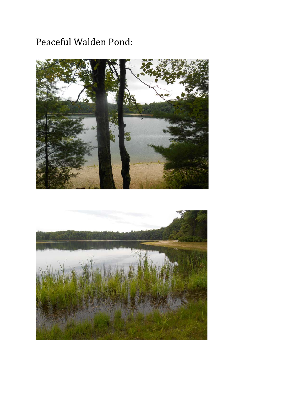#### Peaceful Walden Pond:



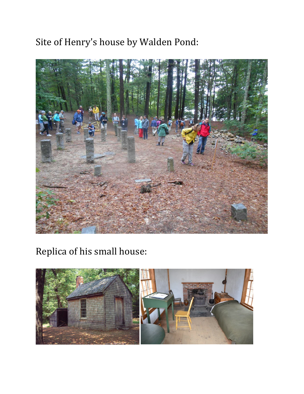Site of Henry's house by Walden Pond:



### Replica of his small house:

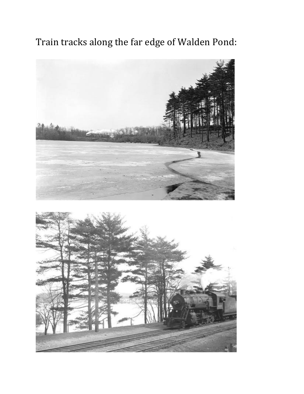## Train tracks along the far edge of Walden Pond:

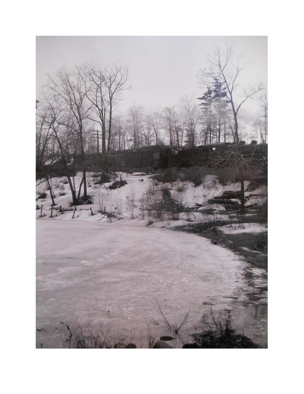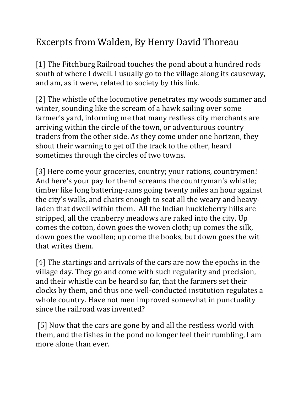### Excerpts from Walden, By Henry David Thoreau

[1] The Fitchburg Railroad touches the pond about a hundred rods south of where I dwell. I usually go to the village along its causeway, and am, as it were, related to society by this link.

[2] The whistle of the locomotive penetrates my woods summer and winter, sounding like the scream of a hawk sailing over some farmer's yard, informing me that many restless city merchants are arriving within the circle of the town, or adventurous country traders from the other side. As they come under one horizon, they shout their warning to get off the track to the other, heard sometimes through the circles of two towns.

[3] Here come your groceries, country; your rations, countrymen! And here's your pay for them! screams the countryman's whistle; timber like long battering-rams going twenty miles an hour against the city's walls, and chairs enough to seat all the weary and heavyladen that dwell within them. All the Indian huckleberry hills are stripped, all the cranberry meadows are raked into the city. Up comes the cotton, down goes the woven cloth; up comes the silk, down goes the woollen; up come the books, but down goes the wit that writes them.

[4] The startings and arrivals of the cars are now the epochs in the village day. They go and come with such regularity and precision, and their whistle can be heard so far, that the farmers set their clocks by them, and thus one well-conducted institution regulates a whole country. Have not men improved somewhat in punctuality since the railroad was invented?

[5] Now that the cars are gone by and all the restless world with them, and the fishes in the pond no longer feel their rumbling, I am more alone than ever.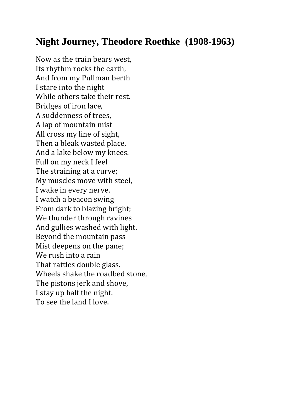#### **Night Journey, Theodore Roethke (1908-1963)**

Now as the train bears west. Its rhythm rocks the earth, And from my Pullman berth I stare into the night While others take their rest. Bridges of iron lace, A suddenness of trees, A lap of mountain mist All cross my line of sight, Then a bleak wasted place, And a lake below my knees. Full on my neck I feel The straining at a curve; My muscles move with steel, I wake in every nerve. I watch a beacon swing From dark to blazing bright; We thunder through ravines And gullies washed with light. Beyond the mountain pass Mist deepens on the pane; We rush into a rain That rattles double glass. Wheels shake the roadbed stone, The pistons jerk and shove, I stay up half the night. To see the land I love.